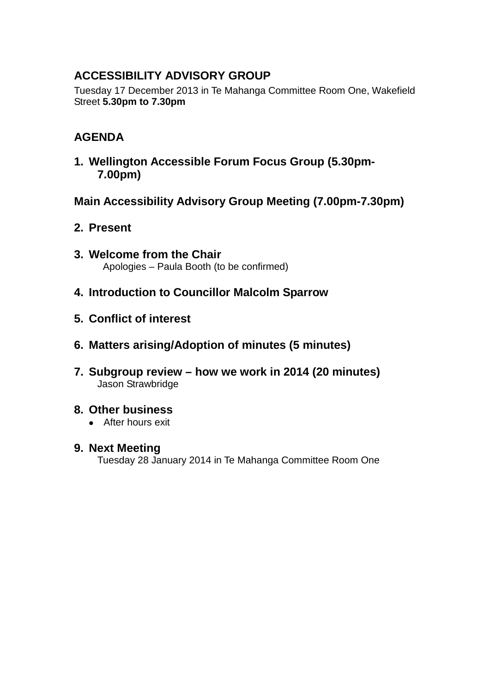# **ACCESSIBILITY ADVISORY GROUP**

Tuesday 17 December 2013 in Te Mahanga Committee Room One, Wakefield Street **5.30pm to 7.30pm**

## **AGENDA**

**1. Wellington Accessible Forum Focus Group (5.30pm-7.00pm)** 

**Main Accessibility Advisory Group Meeting (7.00pm-7.30pm)**

- **2. Present**
- **3. Welcome from the Chair** Apologies – Paula Booth (to be confirmed)
- **4. Introduction to Councillor Malcolm Sparrow**
- **5. Conflict of interest**
- **6. Matters arising/Adoption of minutes (5 minutes)**
- **7. Subgroup review – how we work in 2014 (20 minutes)** Jason Strawbridge

## **8. Other business**

- After hours exit
- **9. Next Meeting**  Tuesday 28 January 2014 in Te Mahanga Committee Room One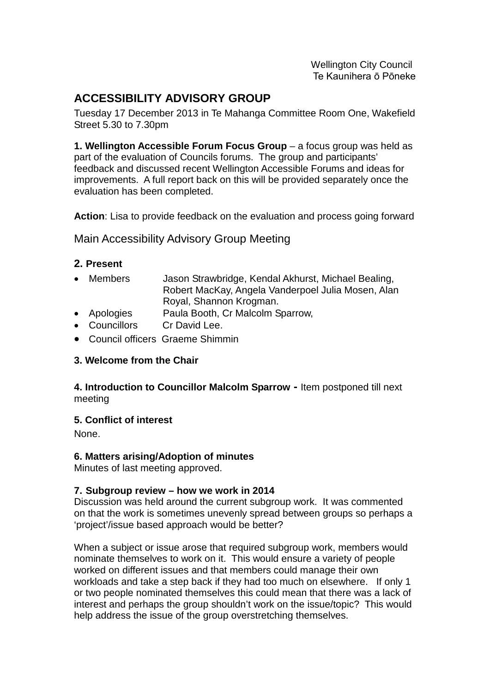Wellington City Council Te Kaunihera ō Pōneke

## **ACCESSIBILITY ADVISORY GROUP**

Tuesday 17 December 2013 in Te Mahanga Committee Room One, Wakefield Street 5.30 to 7.30pm

**1. Wellington Accessible Forum Focus Group** – a focus group was held as part of the evaluation of Councils forums. The group and participants' feedback and discussed recent Wellington Accessible Forums and ideas for improvements. A full report back on this will be provided separately once the evaluation has been completed.

**Action**: Lisa to provide feedback on the evaluation and process going forward

Main Accessibility Advisory Group Meeting

#### **2. Present**

- Members Jason Strawbridge, Kendal Akhurst, Michael Bealing, Robert MacKay, Angela Vanderpoel Julia Mosen, Alan Royal, Shannon Krogman.
- Apologies Paula Booth, Cr Malcolm Sparrow,
- Councillors Cr David Lee.
- Council officers Graeme Shimmin

#### **3. Welcome from the Chair**

#### **4. Introduction to Councillor Malcolm Sparrow -** Item postponed till next meeting

#### **5. Conflict of interest**

None.

#### **6. Matters arising/Adoption of minutes**

Minutes of last meeting approved.

#### **7. Subgroup review – how we work in 2014**

Discussion was held around the current subgroup work. It was commented on that the work is sometimes unevenly spread between groups so perhaps a 'project'/issue based approach would be better?

When a subject or issue arose that required subgroup work, members would nominate themselves to work on it. This would ensure a variety of people worked on different issues and that members could manage their own workloads and take a step back if they had too much on elsewhere. If only 1 or two people nominated themselves this could mean that there was a lack of interest and perhaps the group shouldn't work on the issue/topic? This would help address the issue of the group overstretching themselves.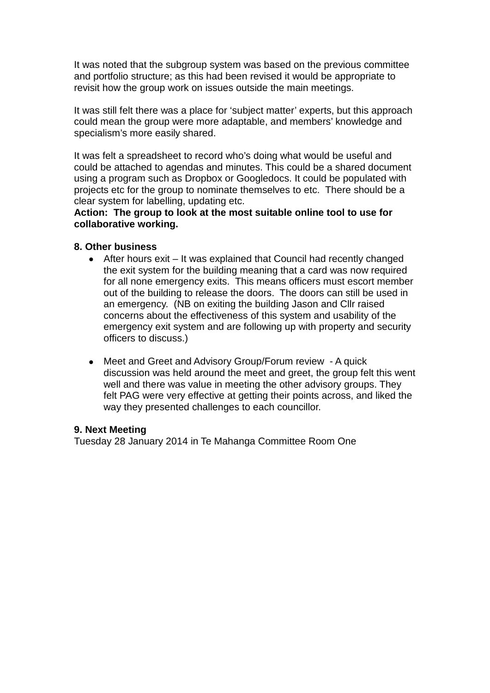It was noted that the subgroup system was based on the previous committee and portfolio structure; as this had been revised it would be appropriate to revisit how the group work on issues outside the main meetings.

It was still felt there was a place for 'subject matter' experts, but this approach could mean the group were more adaptable, and members' knowledge and specialism's more easily shared.

It was felt a spreadsheet to record who's doing what would be useful and could be attached to agendas and minutes. This could be a shared document using a program such as Dropbox or Googledocs. It could be populated with projects etc for the group to nominate themselves to etc. There should be a clear system for labelling, updating etc.

**Action: The group to look at the most suitable online tool to use for collaborative working.**

#### **8. Other business**

- After hours exit It was explained that Council had recently changed the exit system for the building meaning that a card was now required for all none emergency exits. This means officers must escort member out of the building to release the doors. The doors can still be used in an emergency. (NB on exiting the building Jason and Cllr raised concerns about the effectiveness of this system and usability of the emergency exit system and are following up with property and security officers to discuss.)
- Meet and Greet and Advisory Group/Forum review A quick discussion was held around the meet and greet, the group felt this went well and there was value in meeting the other advisory groups. They felt PAG were very effective at getting their points across, and liked the way they presented challenges to each councillor.

#### **9. Next Meeting**

Tuesday 28 January 2014 in Te Mahanga Committee Room One